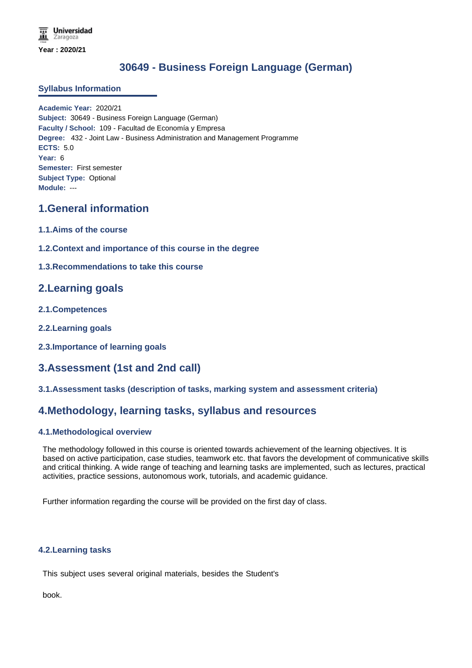# **30649 - Business Foreign Language (German)**

#### **Syllabus Information**

**Academic Year:** 2020/21 **Subject:** 30649 - Business Foreign Language (German) **Faculty / School:** 109 - Facultad de Economía y Empresa **Degree:** 432 - Joint Law - Business Administration and Management Programme **ECTS:** 5.0 **Year:** 6 **Semester:** First semester **Subject Type:** Optional **Module:** ---

### **1.General information**

- **1.1.Aims of the course**
- **1.2.Context and importance of this course in the degree**
- **1.3.Recommendations to take this course**

## **2.Learning goals**

- **2.1.Competences**
- **2.2.Learning goals**
- **2.3.Importance of learning goals**

## **3.Assessment (1st and 2nd call)**

**3.1.Assessment tasks (description of tasks, marking system and assessment criteria)**

### **4.Methodology, learning tasks, syllabus and resources**

#### **4.1.Methodological overview**

The methodology followed in this course is oriented towards achievement of the learning objectives. It is based on active participation, case studies, teamwork etc. that favors the development of communicative skills and critical thinking. A wide range of teaching and learning tasks are implemented, such as lectures, practical activities, practice sessions, autonomous work, tutorials, and academic guidance.

Further information regarding the course will be provided on the first day of class.

#### **4.2.Learning tasks**

This subject uses several original materials, besides the Student's

book.